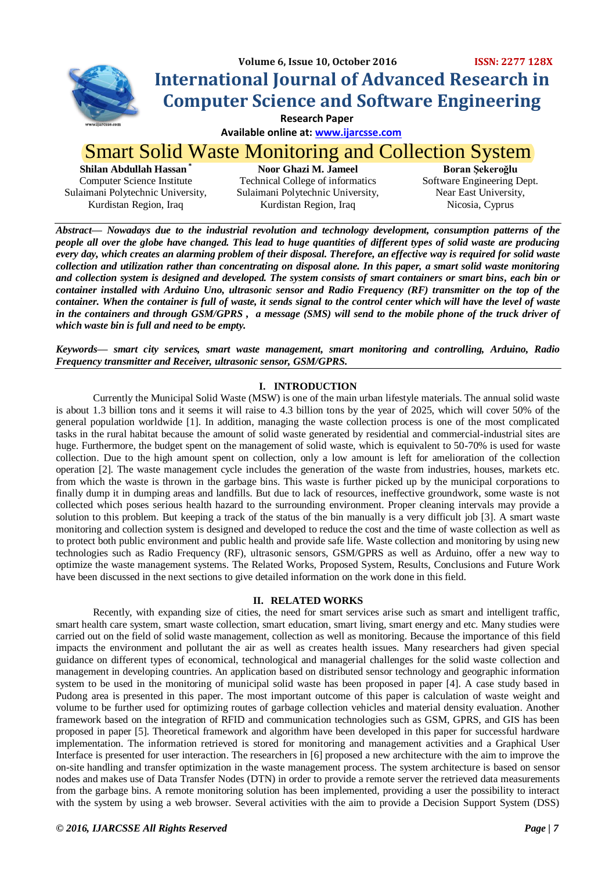

## **Volume 6, Issue 10, October 2016 ISSN: 2277 128X International Journal of Advanced Research in Computer Science and Software Engineering**

 **Research Paper**

 **Available online at[: www.ijarcsse.com](http://www.ijarcsse.com/)**

# Smart Solid Waste Monitoring and Collection System

**Shilan Abdullah Hassan \*** Computer Science Institute Sulaimani Polytechnic University, Kurdistan Region, Iraq

**Noor Ghazi M. Jameel** Technical College of informatics Sulaimani Polytechnic University, Kurdistan Region, Iraq

**Boran Şekeroğlu** Software Engineering Dept. Near East University, Nicosia, Cyprus

*Abstract— Nowadays due to the industrial revolution and technology development, consumption patterns of the people all over the globe have changed. This lead to huge quantities of different types of solid waste are producing every day, which creates an alarming problem of their disposal. Therefore, an effective way is required for solid waste collection and utilization rather than concentrating on disposal alone. In this paper, a smart solid waste monitoring and collection system is designed and developed. The system consists of smart containers or smart bins, each bin or container installed with Arduino Uno, ultrasonic sensor and Radio Frequency (RF) transmitter on the top of the container. When the container is full of waste, it sends signal to the control center which will have the level of waste* in the containers and through GSM/GPRS, a message (SMS) will send to the mobile phone of the truck driver of *which waste bin is full and need to be empty.*

*Keywords— smart city services, smart waste management, smart monitoring and controlling, Arduino, Radio Frequency transmitter and Receiver, ultrasonic sensor, GSM/GPRS.*

## **I. INTRODUCTION**

Currently the Municipal Solid Waste (MSW) is one of the main urban lifestyle materials. The annual solid waste is about 1.3 billion tons and it seems it will raise to 4.3 billion tons by the year of 2025, which will cover 50% of the general population worldwide [1]. In addition, managing the waste collection process is one of the most complicated tasks in the rural habitat because the amount of solid waste generated by residential and commercial-industrial sites are huge. Furthermore, the budget spent on the management of solid waste, which is equivalent to 50-70% is used for waste collection. Due to the high amount spent on collection, only a low amount is left for amelioration of the collection operation [2]. The waste management cycle includes the generation of the waste from industries, houses, markets etc. from which the waste is thrown in the garbage bins. This waste is further picked up by the municipal corporations to finally dump it in dumping areas and landfills. But due to lack of resources, ineffective groundwork, some waste is not collected which poses serious health hazard to the surrounding environment. Proper cleaning intervals may provide a solution to this problem. But keeping a track of the status of the bin manually is a very difficult job [3]. A smart waste monitoring and collection system is designed and developed to reduce the cost and the time of waste collection as well as to protect both public environment and public health and provide safe life. Waste collection and monitoring by using new technologies such as Radio Frequency (RF), ultrasonic sensors, GSM/GPRS as well as Arduino, offer a new way to optimize the waste management systems. The Related Works, Proposed System, Results, Conclusions and Future Work have been discussed in the next sections to give detailed information on the work done in this field.

## **II. RELATED WORKS**

Recently, with expanding size of cities, the need for smart services arise such as smart and intelligent traffic, smart health care system, smart waste collection, smart education, smart living, smart energy and etc. Many studies were carried out on the field of solid waste management, collection as well as monitoring. Because the importance of this field impacts the environment and pollutant the air as well as creates health issues. Many researchers had given special guidance on different types of economical, technological and managerial challenges for the solid waste collection and management in developing countries. An application based on distributed sensor technology and geographic information system to be used in the monitoring of municipal solid waste has been proposed in paper [4]. A case study based in Pudong area is presented in this paper. The most important outcome of this paper is calculation of waste weight and volume to be further used for optimizing routes of garbage collection vehicles and material density evaluation. Another framework based on the integration of RFID and communication technologies such as GSM, GPRS, and GIS has been proposed in paper [5]. Theoretical framework and algorithm have been developed in this paper for successful hardware implementation. The information retrieved is stored for monitoring and management activities and a Graphical User Interface is presented for user interaction. The researchers in [6] proposed a new architecture with the aim to improve the on-site handling and transfer optimization in the waste management process. The system architecture is based on sensor nodes and makes use of Data Transfer Nodes (DTN) in order to provide a remote server the retrieved data measurements from the garbage bins. A remote monitoring solution has been implemented, providing a user the possibility to interact with the system by using a web browser. Several activities with the aim to provide a Decision Support System (DSS)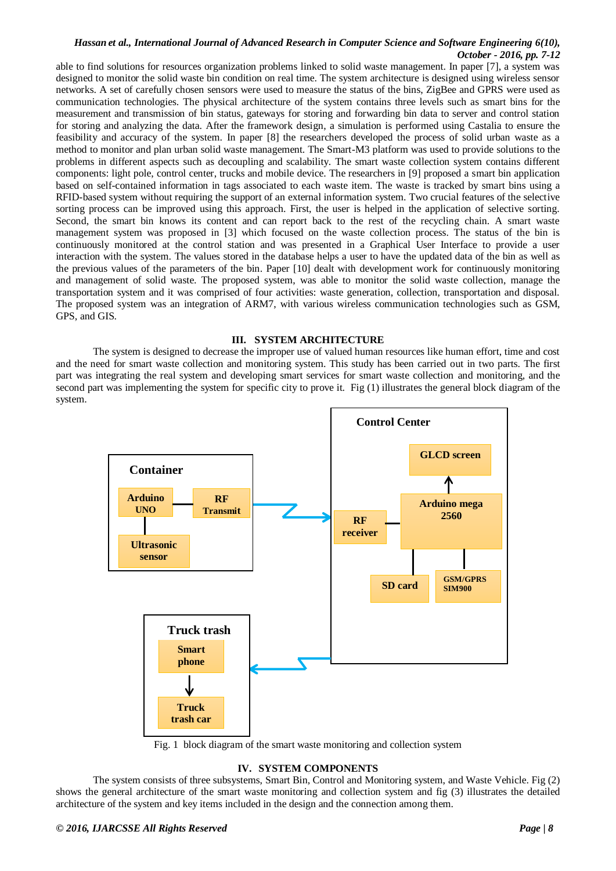able to find solutions for resources organization problems linked to solid waste management. In paper [7], a system was designed to monitor the solid waste bin condition on real time. The system architecture is designed using wireless sensor networks. A set of carefully chosen sensors were used to measure the status of the bins, ZigBee and GPRS were used as communication technologies. The physical architecture of the system contains three levels such as smart bins for the measurement and transmission of bin status, gateways for storing and forwarding bin data to server and control station for storing and analyzing the data. After the framework design, a simulation is performed using Castalia to ensure the feasibility and accuracy of the system. In paper [8] the researchers developed the process of solid urban waste as a method to monitor and plan urban solid waste management. The Smart-M3 platform was used to provide solutions to the problems in different aspects such as decoupling and scalability. The smart waste collection system contains different components: light pole, control center, trucks and mobile device. The researchers in [9] proposed a smart bin application based on self-contained information in tags associated to each waste item. The waste is tracked by smart bins using a RFID-based system without requiring the support of an external information system. Two crucial features of the selective sorting process can be improved using this approach. First, the user is helped in the application of selective sorting. Second, the smart bin knows its content and can report back to the rest of the recycling chain. A smart waste management system was proposed in [3] which focused on the waste collection process. The status of the bin is continuously monitored at the control station and was presented in a Graphical User Interface to provide a user interaction with the system. The values stored in the database helps a user to have the updated data of the bin as well as the previous values of the parameters of the bin. Paper [10] dealt with development work for continuously monitoring and management of solid waste. The proposed system, was able to monitor the solid waste collection, manage the transportation system and it was comprised of four activities: waste generation, collection, transportation and disposal. The proposed system was an integration of ARM7, with various wireless communication technologies such as GSM, GPS, and GIS.

#### **III. SYSTEM ARCHITECTURE**

The system is designed to decrease the improper use of valued human resources like human effort, time and cost and the need for smart waste collection and monitoring system. This study has been carried out in two parts. The first part was integrating the real system and developing smart services for smart waste collection and monitoring, and the second part was implementing the system for specific city to prove it. Fig (1) illustrates the general block diagram of the system.



Fig. 1 block diagram of the smart waste monitoring and collection system

#### **IV. SYSTEM COMPONENTS**

The system consists of three subsystems, Smart Bin, Control and Monitoring system, and Waste Vehicle. Fig (2) shows the general architecture of the smart waste monitoring and collection system and fig (3) illustrates the detailed architecture of the system and key items included in the design and the connection among them.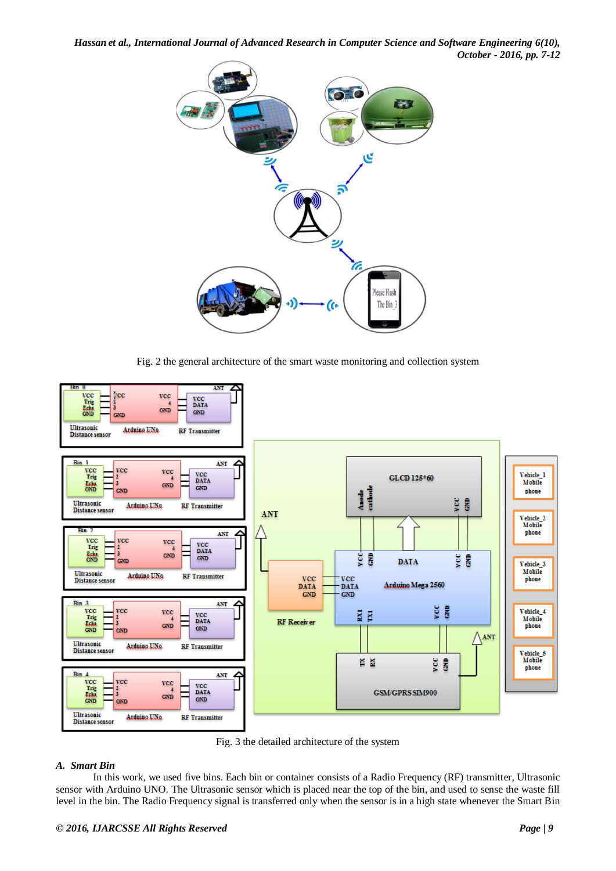*Hassan et al., International Journal of Advanced Research in Computer Science and Software Engineering 6(10), October - 2016, pp. 7-12*



Fig. 2 the general architecture of the smart waste monitoring and collection system



Fig. 3 the detailed architecture of the system

## *A. Smart Bin*

In this work, we used five bins. Each bin or container consists of a Radio Frequency (RF) transmitter, Ultrasonic sensor with Arduino UNO. The Ultrasonic sensor which is placed near the top of the bin, and used to sense the waste fill level in the bin. The Radio Frequency signal is transferred only when the sensor is in a high state whenever the Smart Bin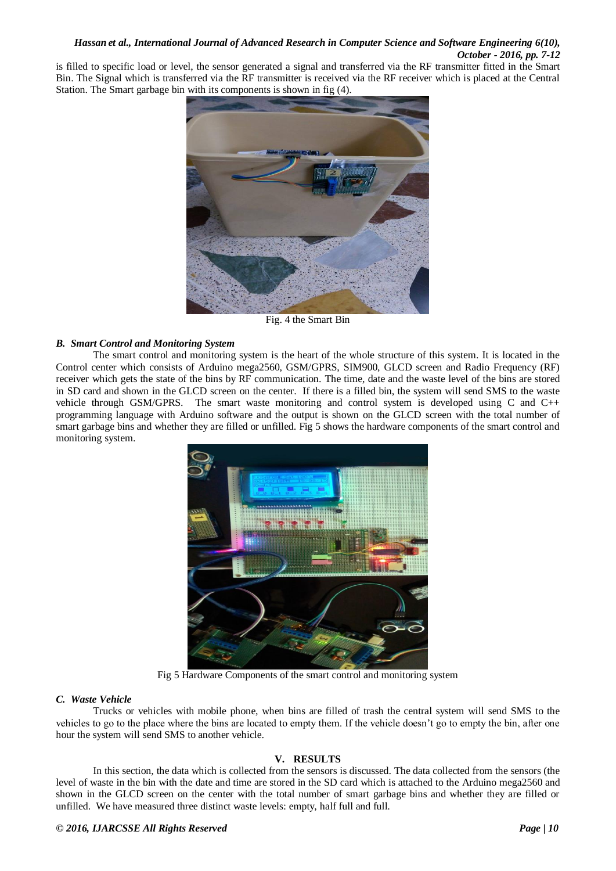is filled to specific load or level, the sensor generated a signal and transferred via the RF transmitter fitted in the Smart Bin. The Signal which is transferred via the RF transmitter is received via the RF receiver which is placed at the Central Station. The Smart garbage bin with its components is shown in fig (4).



Fig. 4 the Smart Bin

## *B. Smart Control and Monitoring System*

The smart control and monitoring system is the heart of the whole structure of this system. It is located in the Control center which consists of Arduino mega2560, GSM/GPRS, SIM900, GLCD screen and Radio Frequency (RF) receiver which gets the state of the bins by RF communication. The time, date and the waste level of the bins are stored in SD card and shown in the GLCD screen on the center. If there is a filled bin, the system will send SMS to the waste vehicle through GSM/GPRS. The smart waste monitoring and control system is developed using C and C++ programming language with Arduino software and the output is shown on the GLCD screen with the total number of smart garbage bins and whether they are filled or unfilled. Fig 5 shows the hardware components of the smart control and monitoring system.



Fig 5 Hardware Components of the smart control and monitoring system

## *C. Waste Vehicle*

Trucks or vehicles with mobile phone, when bins are filled of trash the central system will send SMS to the vehicles to go to the place where the bins are located to empty them. If the vehicle doesn't go to empty the bin, after one hour the system will send SMS to another vehicle.

## **V. RESULTS**

In this section, the data which is collected from the sensors is discussed. The data collected from the sensors (the level of waste in the bin with the date and time are stored in the SD card which is attached to the Arduino mega2560 and shown in the GLCD screen on the center with the total number of smart garbage bins and whether they are filled or unfilled. We have measured three distinct waste levels: empty, half full and full.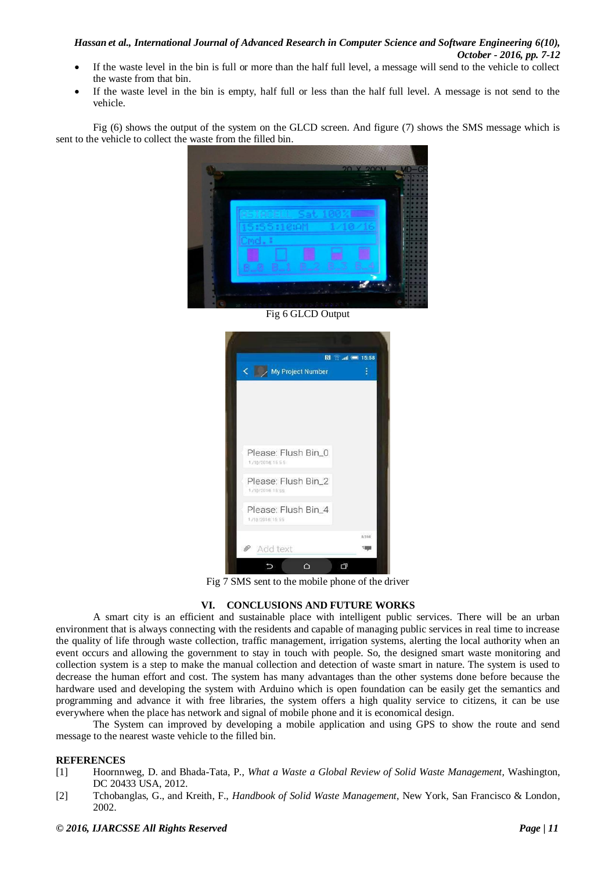- If the waste level in the bin is full or more than the half full level, a message will send to the vehicle to collect the waste from that bin.
- If the waste level in the bin is empty, half full or less than the half full level. A message is not send to the vehicle.

Fig (6) shows the output of the system on the GLCD screen. And figure (7) shows the SMS message which is sent to the vehicle to collect the waste from the filled bin.



Fig 6 GLCD Output



Fig 7 SMS sent to the mobile phone of the driver

## **VI. CONCLUSIONS AND FUTURE WORKS**

A smart city is an efficient and sustainable place with intelligent public services. There will be an urban environment that is always connecting with the residents and capable of managing public services in real time to increase the quality of life through waste collection, traffic management, irrigation systems, alerting the local authority when an event occurs and allowing the government to stay in touch with people. So, the designed smart waste monitoring and collection system is a step to make the manual collection and detection of waste smart in nature. The system is used to decrease the human effort and cost. The system has many advantages than the other systems done before because the hardware used and developing the system with Arduino which is open foundation can be easily get the semantics and programming and advance it with free libraries, the system offers a high quality service to citizens, it can be use everywhere when the place has network and signal of mobile phone and it is economical design.

The System can improved by developing a mobile application and using GPS to show the route and send message to the nearest waste vehicle to the filled bin.

#### **REFERENCES**

- [1] Hoornnweg, D. and Bhada-Tata, P., *What a Waste a Global Review of Solid Waste Management,* Washington, DC 20433 USA, 2012.
- [2] Tchobanglas, G., and Kreith, F., *Handbook of Solid Waste Management*, New York, San Francisco & London, 2002.